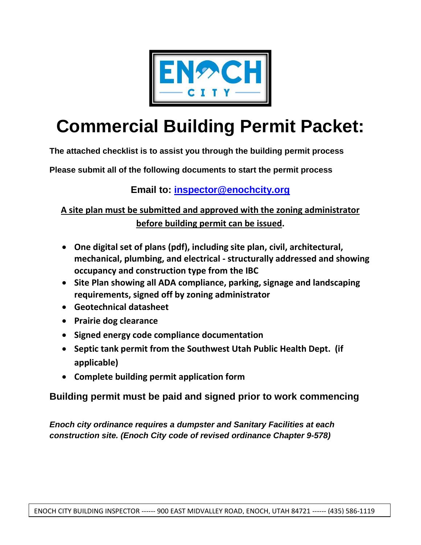

# **Commercial Building Permit Packet:**

**The attached checklist is to assist you through the building permit process**

**Please submit all of the following documents to start the permit process**

### **Email to: [inspector@enochcity.org](mailto:inspector@enochcity.org)**

**A site plan must be submitted and approved with the zoning administrator before building permit can be issued.**

- **One digital set of plans (pdf), including site plan, civil, architectural, mechanical, plumbing, and electrical - structurally addressed and showing occupancy and construction type from the IBC**
- **Site Plan showing all ADA compliance, parking, signage and landscaping requirements, signed off by zoning administrator**
- **Geotechnical datasheet**
- **Prairie dog clearance**
- **Signed energy code compliance documentation**
- **Septic tank permit from the Southwest Utah Public Health Dept. (if applicable)**
- **Complete building permit application form**

**Building permit must be paid and signed prior to work commencing**

*Enoch city ordinance requires a dumpster and Sanitary Facilities at each construction site. (Enoch City code of revised ordinance Chapter 9-578)*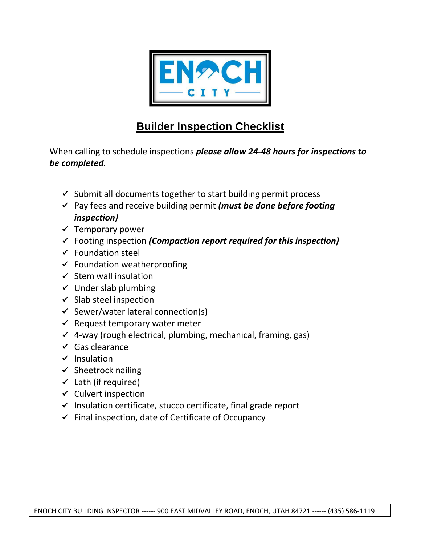

# **Builder Inspection Checklist**

When calling to schedule inspections *please allow 24-48 hours for inspections to be completed.*

- $\checkmark$  Submit all documents together to start building permit process
- Pay fees and receive building permit *(must be done before footing inspection)*
- $\checkmark$  Temporary power
- Footing inspection *(Compaction report required for this inspection)*
- $\checkmark$  Foundation steel
- $\checkmark$  Foundation weatherproofing
- $\checkmark$  Stem wall insulation
- $\checkmark$  Under slab plumbing
- $\checkmark$  Slab steel inspection
- $\checkmark$  Sewer/water lateral connection(s)
- $\checkmark$  Request temporary water meter
- $\checkmark$  4-way (rough electrical, plumbing, mechanical, framing, gas)
- $\checkmark$  Gas clearance
- $\checkmark$  Insulation
- $\checkmark$  Sheetrock nailing
- $\checkmark$  Lath (if required)
- $\checkmark$  Culvert inspection
- $\checkmark$  Insulation certificate, stucco certificate, final grade report
- $\checkmark$  Final inspection, date of Certificate of Occupancy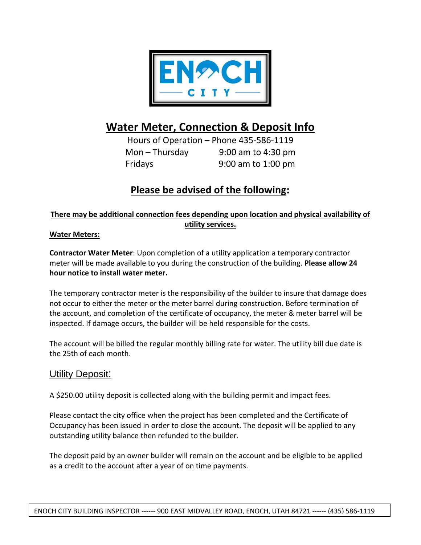

## **Water Meter, Connection & Deposit Info**

Hours of Operation – Phone 435-586-1119 Mon – Thursday 9:00 am to 4:30 pm Fridays 9:00 am to 1:00 pm

## **Please be advised of the following:**

#### **There may be additional connection fees depending upon location and physical availability of utility services.**

#### **Water Meters:**

**Contractor Water Meter**: Upon completion of a utility application a temporary contractor meter will be made available to you during the construction of the building. **Please allow 24 hour notice to install water meter.**

The temporary contractor meter is the responsibility of the builder to insure that damage does not occur to either the meter or the meter barrel during construction. Before termination of the account, and completion of the certificate of occupancy, the meter & meter barrel will be inspected. If damage occurs, the builder will be held responsible for the costs.

The account will be billed the regular monthly billing rate for water. The utility bill due date is the 25th of each month.

#### Utility Deposit:

A \$250.00 utility deposit is collected along with the building permit and impact fees.

Please contact the city office when the project has been completed and the Certificate of Occupancy has been issued in order to close the account. The deposit will be applied to any outstanding utility balance then refunded to the builder.

The deposit paid by an owner builder will remain on the account and be eligible to be applied as a credit to the account after a year of on time payments.

ENOCH CITY BUILDING INSPECTOR ------ 900 EAST MIDVALLEY ROAD, ENOCH, UTAH 84721 ------ (435) 586-1119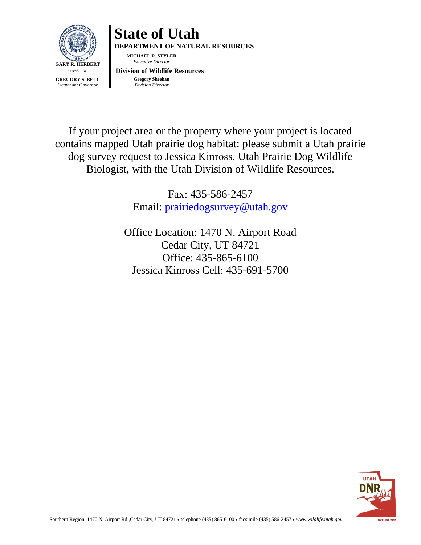



If your project area or the property where your project is located contains mapped Utah prairie dog habitat: please submit a Utah prairie dog survey request to Jessica Kinross, Utah Prairie Dog Wildlife Biologist, with the Utah Division of Wildlife Resources.

> Fax: 435-586-2457 Email: [prairiedogsurvey@utah.gov](mailto:prairiedogsurvey@utah.gov)

Office Location: 1470 N. Airport Road Cedar City, UT 84721 Office: 435-865-6100 Jessica Kinross Cell: 435-691-5700

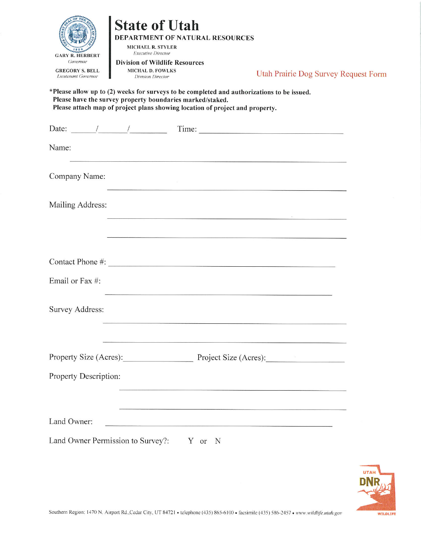| <b>GARY R. HERBERT</b><br>Governor<br><b>GREGORY S. BELL</b><br>Lieutenant Governor | <b>State of Utah</b><br><b>MICHAEL R. STYLER</b><br><b>Executive Director</b><br><b>Division of Wildlife Resources</b><br><b>MICHAL D. FOWLKS</b><br><b>Division Director</b><br>Please have the survey property boundaries marked/staked. | DEPARTMENT OF NATURAL RESOURCES<br>*Please allow up to (2) weeks for surveys to be completed and authorizations to be issued.<br>Please attach map of project plans showing location of project and property. | Utah Prairie Dog Survey Request Form                                                                                                                                                                                                                                                                                                                                                                             |  |
|-------------------------------------------------------------------------------------|--------------------------------------------------------------------------------------------------------------------------------------------------------------------------------------------------------------------------------------------|---------------------------------------------------------------------------------------------------------------------------------------------------------------------------------------------------------------|------------------------------------------------------------------------------------------------------------------------------------------------------------------------------------------------------------------------------------------------------------------------------------------------------------------------------------------------------------------------------------------------------------------|--|
|                                                                                     |                                                                                                                                                                                                                                            |                                                                                                                                                                                                               | Date: $\frac{1}{\frac{1}{1-\frac{1}{1-\frac{1}{1-\frac{1}{1-\frac{1}{1-\frac{1}{1-\frac{1}{1-\frac{1}{1-\frac{1}{1-\frac{1}{1-\frac{1}{1-\frac{1}{1-\frac{1}{1-\frac{1}{1-\frac{1}{1-\frac{1}{1-\frac{1}{1-\frac{1}{1-\frac{1}{1-\frac{1}{1-\frac{1}{1-\frac{1}{1-\frac{1}{1-\frac{1}{1-\frac{1}{1-\frac{1}{1-\frac{1}{1-\frac{1}{1-\frac{1}{1-\frac{1}{1-\frac{1}{1-\frac{1}{1-\frac{1}{1-\frac{1}{1-\frac{1}{$ |  |
| Name:                                                                               |                                                                                                                                                                                                                                            |                                                                                                                                                                                                               |                                                                                                                                                                                                                                                                                                                                                                                                                  |  |
| Company Name:                                                                       |                                                                                                                                                                                                                                            |                                                                                                                                                                                                               |                                                                                                                                                                                                                                                                                                                                                                                                                  |  |
| Mailing Address:                                                                    |                                                                                                                                                                                                                                            | the control of the control of the control of the control of the control of the control of                                                                                                                     |                                                                                                                                                                                                                                                                                                                                                                                                                  |  |
|                                                                                     |                                                                                                                                                                                                                                            |                                                                                                                                                                                                               |                                                                                                                                                                                                                                                                                                                                                                                                                  |  |
|                                                                                     |                                                                                                                                                                                                                                            | Contact Phone #:                                                                                                                                                                                              |                                                                                                                                                                                                                                                                                                                                                                                                                  |  |
| Email or Fax #:                                                                     |                                                                                                                                                                                                                                            |                                                                                                                                                                                                               |                                                                                                                                                                                                                                                                                                                                                                                                                  |  |
| Survey Address:                                                                     |                                                                                                                                                                                                                                            |                                                                                                                                                                                                               |                                                                                                                                                                                                                                                                                                                                                                                                                  |  |
|                                                                                     |                                                                                                                                                                                                                                            |                                                                                                                                                                                                               |                                                                                                                                                                                                                                                                                                                                                                                                                  |  |
|                                                                                     |                                                                                                                                                                                                                                            |                                                                                                                                                                                                               | Property Size (Acres): Project Size (Acres):                                                                                                                                                                                                                                                                                                                                                                     |  |
| Property Description:                                                               |                                                                                                                                                                                                                                            |                                                                                                                                                                                                               |                                                                                                                                                                                                                                                                                                                                                                                                                  |  |
|                                                                                     |                                                                                                                                                                                                                                            |                                                                                                                                                                                                               |                                                                                                                                                                                                                                                                                                                                                                                                                  |  |
| Land Owner:                                                                         |                                                                                                                                                                                                                                            |                                                                                                                                                                                                               |                                                                                                                                                                                                                                                                                                                                                                                                                  |  |
|                                                                                     | Land Owner Permission to Survey?: Y or N                                                                                                                                                                                                   |                                                                                                                                                                                                               |                                                                                                                                                                                                                                                                                                                                                                                                                  |  |

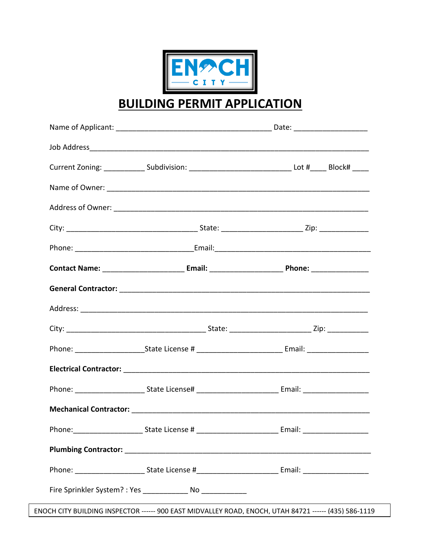

**BUILDING PERMIT APPLICATION** 

|  | Current Zoning: ________________Subdivision: ___________________________________Lot #_______Block# ______      |  |  |  |
|--|----------------------------------------------------------------------------------------------------------------|--|--|--|
|  |                                                                                                                |  |  |  |
|  |                                                                                                                |  |  |  |
|  |                                                                                                                |  |  |  |
|  |                                                                                                                |  |  |  |
|  | Contact Name: ______________________________Email: ___________________________Phone: _______________           |  |  |  |
|  |                                                                                                                |  |  |  |
|  |                                                                                                                |  |  |  |
|  |                                                                                                                |  |  |  |
|  | Phone: ____________________________State License # ______________________________ Email: _____________________ |  |  |  |
|  |                                                                                                                |  |  |  |
|  |                                                                                                                |  |  |  |
|  |                                                                                                                |  |  |  |
|  |                                                                                                                |  |  |  |
|  |                                                                                                                |  |  |  |
|  |                                                                                                                |  |  |  |
|  |                                                                                                                |  |  |  |